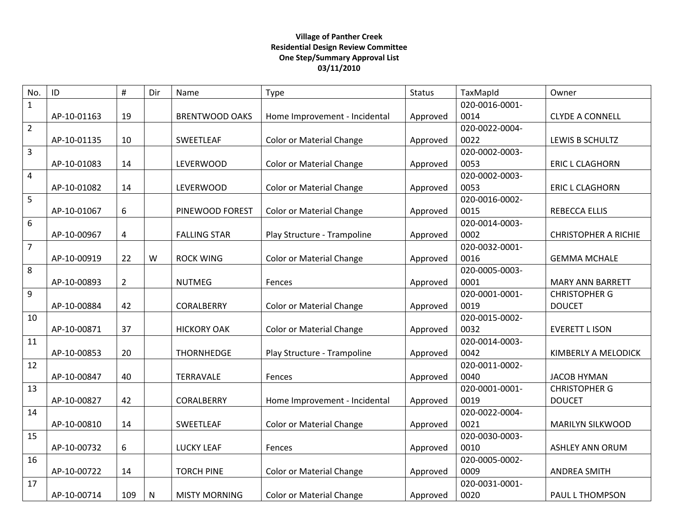## **Village of Panther Creek Residential Design Review Committee One Step/Summary Approval List 03/11/2010**

| No.            | ID          | $\#$           | Dir       | Name                  | Type                            | Status   | TaxMapId       | Owner                       |
|----------------|-------------|----------------|-----------|-----------------------|---------------------------------|----------|----------------|-----------------------------|
| $\mathbf{1}$   |             |                |           |                       |                                 |          | 020-0016-0001- |                             |
|                | AP-10-01163 | 19             |           | <b>BRENTWOOD OAKS</b> | Home Improvement - Incidental   | Approved | 0014           | <b>CLYDE A CONNELL</b>      |
| $\overline{2}$ |             |                |           |                       |                                 |          | 020-0022-0004- |                             |
|                | AP-10-01135 | 10             |           | SWEETLEAF             | <b>Color or Material Change</b> | Approved | 0022           | LEWIS B SCHULTZ             |
| 3              |             |                |           |                       |                                 |          | 020-0002-0003- |                             |
|                | AP-10-01083 | 14             |           | <b>LEVERWOOD</b>      | <b>Color or Material Change</b> | Approved | 0053           | <b>ERIC L CLAGHORN</b>      |
| 4              |             |                |           |                       |                                 |          | 020-0002-0003- |                             |
|                | AP-10-01082 | 14             |           | <b>LEVERWOOD</b>      | <b>Color or Material Change</b> | Approved | 0053           | <b>ERIC L CLAGHORN</b>      |
| 5              |             |                |           |                       |                                 |          | 020-0016-0002- |                             |
|                | AP-10-01067 | 6              |           | PINEWOOD FOREST       | <b>Color or Material Change</b> | Approved | 0015           | <b>REBECCA ELLIS</b>        |
| 6              |             |                |           |                       |                                 |          | 020-0014-0003- |                             |
|                | AP-10-00967 | 4              |           | <b>FALLING STAR</b>   | Play Structure - Trampoline     | Approved | 0002           | <b>CHRISTOPHER A RICHIE</b> |
| $\overline{7}$ |             |                |           |                       |                                 |          | 020-0032-0001- |                             |
|                | AP-10-00919 | 22             | W         | <b>ROCK WING</b>      | <b>Color or Material Change</b> | Approved | 0016           | <b>GEMMA MCHALE</b>         |
| 8              |             |                |           |                       |                                 |          | 020-0005-0003- |                             |
|                | AP-10-00893 | $\overline{2}$ |           | <b>NUTMEG</b>         | Fences                          | Approved | 0001           | <b>MARY ANN BARRETT</b>     |
| 9              |             |                |           |                       |                                 |          | 020-0001-0001- | <b>CHRISTOPHER G</b>        |
|                | AP-10-00884 | 42             |           | <b>CORALBERRY</b>     | <b>Color or Material Change</b> | Approved | 0019           | <b>DOUCET</b>               |
| 10             |             |                |           |                       |                                 |          | 020-0015-0002- |                             |
|                | AP-10-00871 | 37             |           | <b>HICKORY OAK</b>    | <b>Color or Material Change</b> | Approved | 0032           | <b>EVERETT L ISON</b>       |
| 11             |             |                |           |                       |                                 |          | 020-0014-0003- |                             |
|                | AP-10-00853 | 20             |           | <b>THORNHEDGE</b>     | Play Structure - Trampoline     | Approved | 0042           | KIMBERLY A MELODICK         |
| 12             |             |                |           |                       |                                 |          | 020-0011-0002- |                             |
|                | AP-10-00847 | 40             |           | <b>TERRAVALE</b>      | Fences                          | Approved | 0040           | <b>JACOB HYMAN</b>          |
| 13             |             |                |           |                       |                                 |          | 020-0001-0001- | <b>CHRISTOPHER G</b>        |
|                | AP-10-00827 | 42             |           | <b>CORALBERRY</b>     | Home Improvement - Incidental   | Approved | 0019           | <b>DOUCET</b>               |
| 14             |             |                |           |                       |                                 |          | 020-0022-0004- |                             |
|                | AP-10-00810 | 14             |           | SWEETLEAF             | <b>Color or Material Change</b> | Approved | 0021           | MARILYN SILKWOOD            |
| 15             |             |                |           |                       |                                 |          | 020-0030-0003- |                             |
|                | AP-10-00732 | 6              |           | <b>LUCKY LEAF</b>     | Fences                          | Approved | 0010           | <b>ASHLEY ANN ORUM</b>      |
| 16             |             |                |           |                       |                                 |          | 020-0005-0002- |                             |
|                | AP-10-00722 | 14             |           | <b>TORCH PINE</b>     | <b>Color or Material Change</b> | Approved | 0009           | <b>ANDREA SMITH</b>         |
| 17             |             |                |           |                       |                                 |          | 020-0031-0001- |                             |
|                | AP-10-00714 | 109            | ${\sf N}$ | <b>MISTY MORNING</b>  | <b>Color or Material Change</b> | Approved | 0020           | PAUL L THOMPSON             |